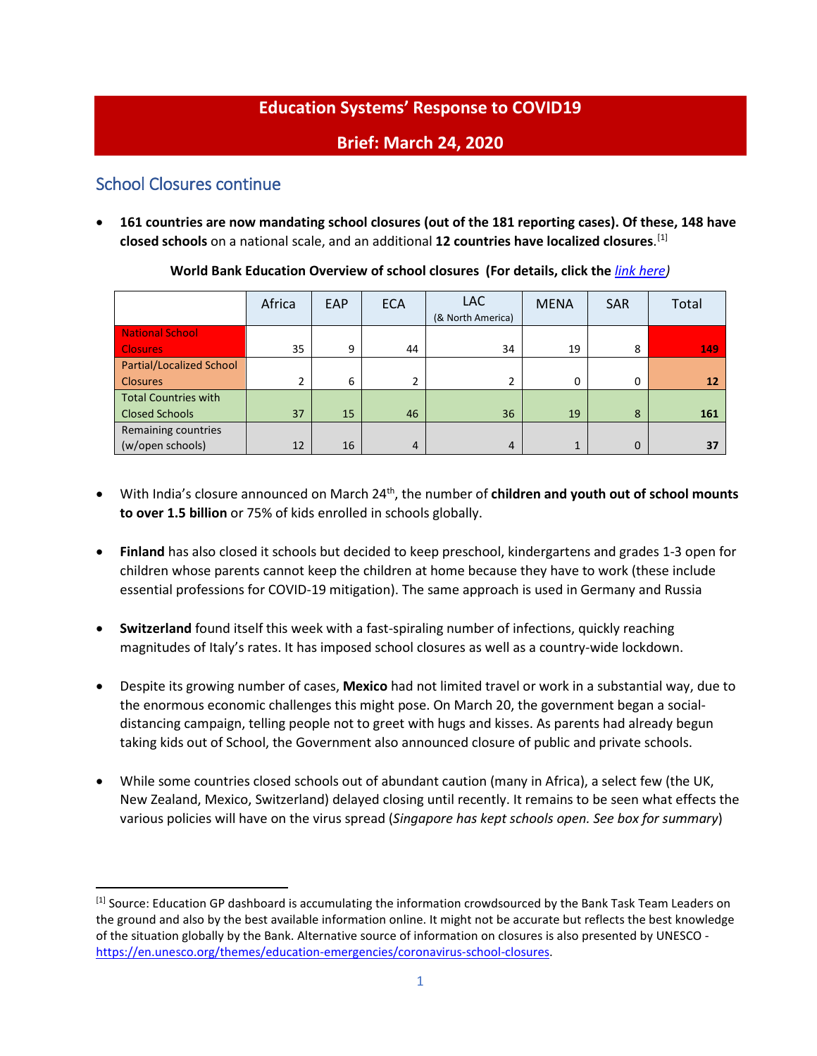# **Education Systems' Response to COVID19**

## **Brief: March 24, 2020**

## School Closures continue

• **161 countries are now mandating school closures (out of the 181 reporting cases). Of these, 148 have closed schools** on a national scale, and an additional **12 countries have localized closures**. [\[1\]](#page-0-0)

|                                 | Africa         | EAP | <b>ECA</b>     | LAC.<br>(& North America) | <b>MENA</b>    | <b>SAR</b>  | Total           |
|---------------------------------|----------------|-----|----------------|---------------------------|----------------|-------------|-----------------|
| <b>National School</b>          |                |     |                |                           |                |             |                 |
| <b>Closures</b>                 | 35             | 9   | 44             | 34                        | 19             | 8           | 149             |
| <b>Partial/Localized School</b> |                |     |                |                           |                |             |                 |
| <b>Closures</b>                 | $\overline{2}$ | 6   | $\overline{2}$ | 2                         | 0              | 0           | 12 <sup>2</sup> |
| <b>Total Countries with</b>     |                |     |                |                           |                |             |                 |
| <b>Closed Schools</b>           | 37             | 15  | 46             | 36                        | 19             | 8           | 161             |
| Remaining countries             |                |     |                |                           |                |             |                 |
| (w/open schools)                | 12             | 16  | $\overline{4}$ | $\overline{4}$            | $\overline{1}$ | $\mathbf 0$ | 37              |

**World Bank Education Overview of school closures (For details, click the** *[link here\)](https://www.worldbank.org/en/data/interactive/2020/03/24/world-bank-education-and-covid-19)*

- With India's closure announced on March 24th, the number of **children and youth out of school mounts to over 1.5 billion** or 75% of kids enrolled in schools globally.
- **Finland** has also closed it schools but decided to keep preschool, kindergartens and grades 1-3 open for children whose parents cannot keep the children at home because they have to work (these include essential professions for COVID-19 mitigation). The same approach is used in Germany and Russia
- **Switzerland** found itself this week with a fast-spiraling number of infections, quickly reaching magnitudes of Italy's rates. It has imposed school closures as well as a country-wide lockdown.
- Despite its growing number of cases, **Mexico** had not limited travel or work in a substantial way, due to the enormous economic challenges this might pose. On March 20, the government began a socialdistancing campaign, telling people not to greet with hugs and kisses. As parents had already begun taking kids out of School, the Government also announced closure of public and private schools.
- While some countries closed schools out of abundant caution (many in Africa), a select few (the UK, New Zealand, Mexico, Switzerland) delayed closing until recently. It remains to be seen what effects the various policies will have on the virus spread (*Singapore has kept schools open. See box for summary*)

<span id="page-0-0"></span><sup>&</sup>lt;sup>[1]</sup> Source: Education GP dashboard is accumulating the information crowdsourced by the Bank Task Team Leaders on the ground and also by the best available information online. It might not be accurate but reflects the best knowledge of the situation globally by the Bank. Alternative source of information on closures is also presented by UNESCO [https://en.unesco.org/themes/education-emergencies/coronavirus-school-closures.](https://en.unesco.org/themes/education-emergencies/coronavirus-school-closures)